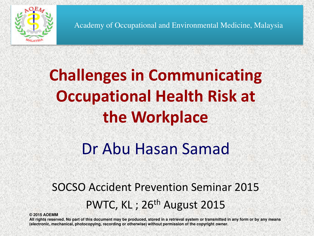

Academy of Occupational and Environmental Medicine, Malaysia

## **Challenges in Communicating Occupational Health Risk at the Workplace**

### Dr Abu Hasan Samad

#### SOCSO Accident Prevention Seminar 2015 PWTC, KL; 26<sup>th</sup> August 2015

**© 2015 AOEMM** 

**All rights reserved. No part of this document may be produced, stored in a retrieval system or transmitted in any form or by any means (electronic, mechanical, photocopying, recording or otherwise) without permission of the copyright owner.**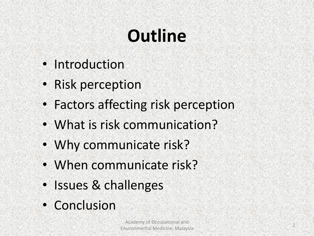# **Outline**

- Introduction
- Risk perception
- Factors affecting risk perception
	- What is risk communication?
	- Why communicate risk?
	- When communicate risk?
	- Issues & challenges
	- Conclusion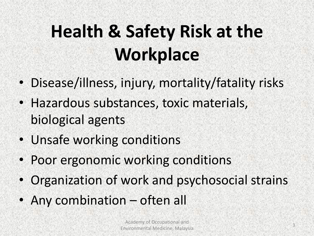## **Health & Safety Risk at the Workplace**

- Disease/illness, injury, mortality/fatality risks
- Hazardous substances, toxic materials, biological agents
- Unsafe working conditions
- Poor ergonomic working conditions
- Organization of work and psychosocial strains
- Any combination often all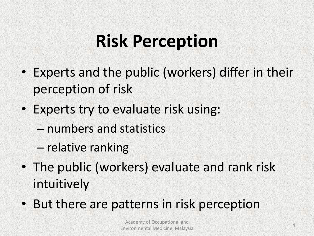## **Risk Perception**

- Experts and the public (workers) differ in their perception of risk
- Experts try to evaluate risk using:
	- numbers and statistics
	- relative ranking
- The public (workers) evaluate and rank risk intuitively
- But there are patterns in risk perception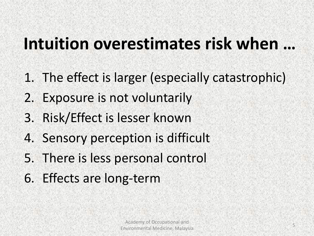#### **Intuition overestimates risk when …**

- 1. The effect is larger (especially catastrophic)
- 2. Exposure is not voluntarily
- 3. Risk/Effect is lesser known
- 4. Sensory perception is difficult
- 5. There is less personal control
- 6. Effects are long-term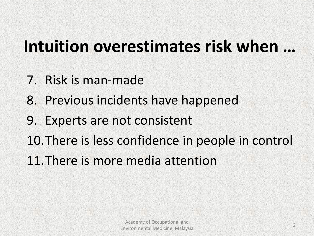#### Intuition overestimates risk when ...

- 7. Risk is man-made
- 8. Previous incidents have happened
- 9. Experts are not consistent
- 10.There is less confidence in people in control
- 11.There is more media attention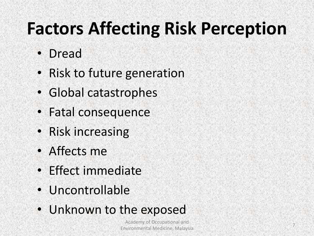## **Factors Affecting Risk Perception**

- Dread
- Risk to future generation
- Global catastrophes
- Fatal consequence
- Risk increasing
- Affects me
- Effect immediate
- Uncontrollable
- Unknown to the exposed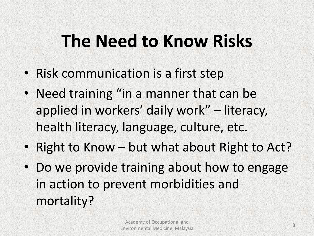## **The Need to Know Risks**

- Risk communication is a first step
- Need training "in a manner that can be applied in workers' daily work" – literacy, health literacy, language, culture, etc.
- Right to Know but what about Right to Act?
- Do we provide training about how to engage in action to prevent morbidities and mortality?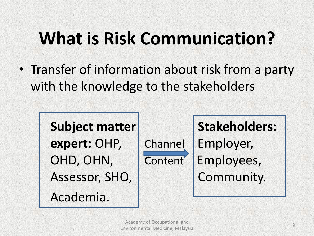## **What is Risk Communication?**

• Transfer of information about risk from a party with the knowledge to the stakeholders

Academia.

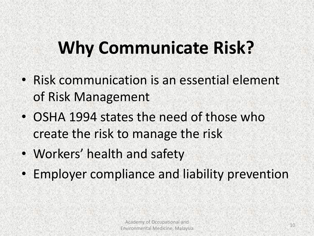## **Why Communicate Risk?**

- Risk communication is an essential element of Risk Management
- OSHA 1994 states the need of those who create the risk to manage the risk
- Workers' health and safety
- Employer compliance and liability prevention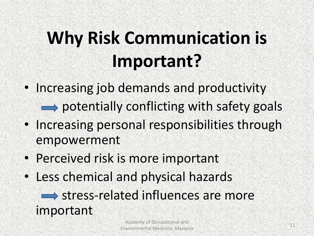## **Why Risk Communication is Important?**

• Increasing job demands and productivity

 $\rightarrow$  potentially conflicting with safety goals

- Increasing personal responsibilities through empowerment
- Perceived risk is more important
- Less chemical and physical hazards

 $\implies$  stress-related influences are more important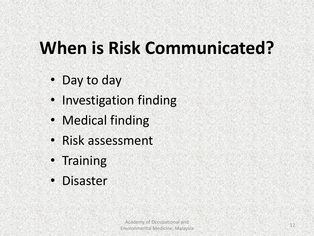## **When is Risk Communicated?**

- Day to day
- Investigation finding
	- Medical finding
	- Risk assessment
- Training
- Disaster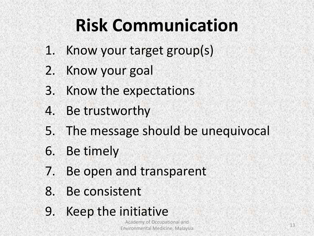## **Risk Communication**

- 1. Know your target group(s)
- 2. Know your goal
- 3. Know the expectations
- 4. Be trustworthy
- 5. The message should be unequivocal
- 6. Be timely
- 7. Be open and transparent
- 8. Be consistent
- 9. Keep the initiative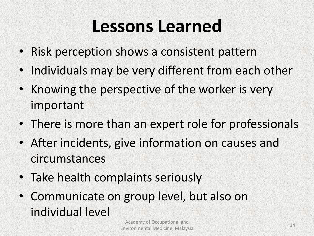### **Lessons Learned**

- Risk perception shows a consistent pattern
- Individuals may be very different from each other
- Knowing the perspective of the worker is very important
- There is more than an expert role for professionals
- After incidents, give information on causes and circumstances
- Take health complaints seriously
- Communicate on group level, but also on individual level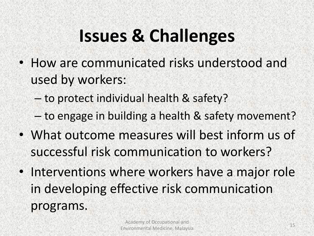## **Issues & Challenges**

• How are communicated risks understood and used by workers:

– to protect individual health & safety?

– to engage in building a health & safety movement?

- What outcome measures will best inform us of successful risk communication to workers?
- Interventions where workers have a major role in developing effective risk communication programs.